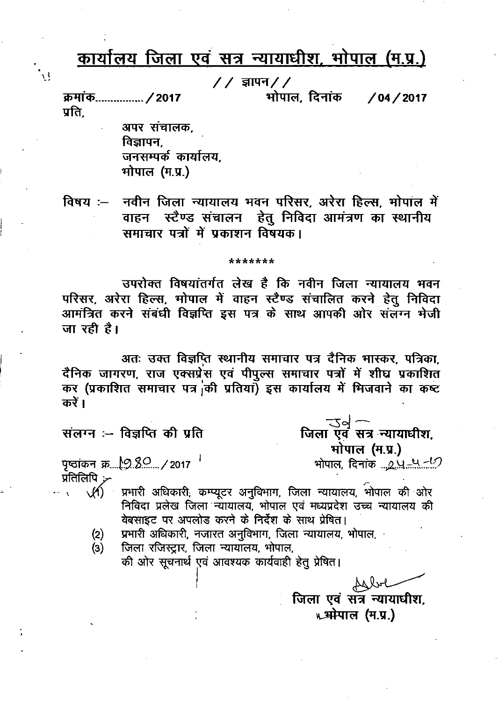# <u>कार्यालय जिला एवं सत्र न्यायाधीश, भोपाल (म.प्र.)</u>

 $// \overline{S}$ रापन $//$ 

भोपाल. दिनांक

 $/04 / 2017$ 

क्रमांक............... / 2017 प्रति.

 $\mathcal{L}$ 

अपर संचालक, विज्ञापन. जनसम्पर्क कार्यालय. भोपाल (म.प्र.)

नवीन जिला न्यायालय भवन परिसर, अरेरा हिल्स, भोपाल में विषय $\sim$ वाहन स्टैण्ड संचालन हेतु निविदा आमंत्रण का स्थानीय समाचार पत्रों में प्रकाशन विषयक।

#### \*\*\*\*\*\*\*

उपरोक्त विषयांतर्गत लेख है कि नवीन जिला न्यायालय भवन परिसर, अरेरा हिल्स, भोपाल में वाहन स्टैण्ड संचालित करने हेतु निविदा आमंत्रित करने संबंधी विज्ञप्ति इस पत्र के साथ आपकी ओर संलग्न भेजी जा रही है।

अतः उक्त विज्ञप्ति स्थानीय समाचार पत्र दैनिक भास्कर, पत्रिका, दैनिक जागरण, राज एक्सप्रेंस एवं पीपुल्स समाचार पत्रों में शीघ्र प्रकाशित कर (प्रकाशित समाचार पत्र की प्रतियाँ) इस कार्यालय में भिजवाने का कष्ट करें ।

संलग्न :- विज्ञप्ति की प्रति

पृष्ठांकन क्र....<u>.९२ , २०</u>०१७ <sup>- ।</sup> प्रतिलिपि  $\mathcal{F}$ 

 $M$ प्रभारी अधिकारी, कम्प्यूटर अनुविभाग, जिला न्यायालय, भोपाल की ओर निविदा प्रलेख जिला न्यायालय, भोपाल एवं मध्यप्रदेश उच्च न्यायालय की वेबसाइट पर अपलोड करने के निर्देश के साथ प्रेषित।

- प्रभारी अधिकारी, नजारत अनुविभाग, जिला न्यायालय, भोपाल,  $(2)$
- जिला रजिस्ट्रार, जिला न्यायॉलय, भोपाल,  $(3)$

की ओर सूचनार्थ एवं आवश्यक कार्यवाही हेतू प्रेषित।

Albr जिला एवं संत्र न्यायाधीश. w. अमेपाल (म.प्र.)

ख्या उब त्यायाधीश.<br>जिला एवं सत्र न्यायाधीश.

भोपाल (म.प्र.)

<u>भोपाल, दिनांक ...२.५.–५.–८</u>७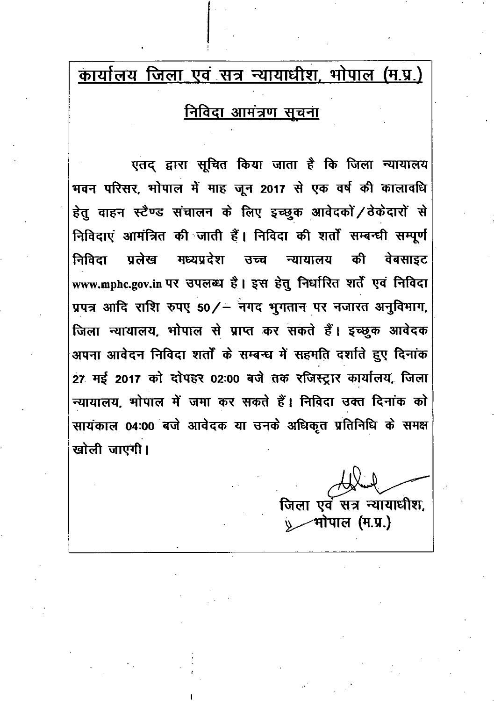## <u>कार्यालय जिला एवं सत्र न्यायाधीश, भोपाल (म.प्र.)</u>

### <u>निविदा आमंत्रण सूचना</u>

एतद् द्वारा सूचित किया जाता है कि जिला न्यायालय भवन परिसर, भोपाल में माह जून 2017 से एक वर्ष की कालावधि हेतु वाहन स्टैण्ड संचालन के लिए इच्छुक आवेदकों / ठेकेदारों से निविदाएं आमंत्रित की जाती हैं। निविदा की शर्तों सम्बन्धी सम्पूर्ण मध्यप्रदेश की निविदा पलेख उच्च न्यायालय वेबसाइट www.mphc.gov.in पर उपलब्ध है। इस हेतु निर्धारित शर्तें एवं निविदा प्रपत्र आदि राशि रुपए 50/- नगद भुगतान पर नजारत अनुविभाग, जिला न्यायालय, भोपाल से प्राप्त कर सकते हैं। इच्छुक आवेदक अपना आवेदन निविदा शर्तों के सम्बन्ध में सहमति दर्शाते हुए दिनांक 27 मई 2017 को दोपहर 02:00 बजे तक रजिस्ट्रार कार्यालय, जिला न्यायालय, भोपाल में जमा कर सकते हैं। निविदा उक्त दिनांक को सायंकाल 04:00 बजे आवेदक या उनके अधिकृत प्रतिनिधि के समक्ष खोली जाएगी।

जिला एवं सत्र न्यायाधीश. **मोपाल (म.प्र.)**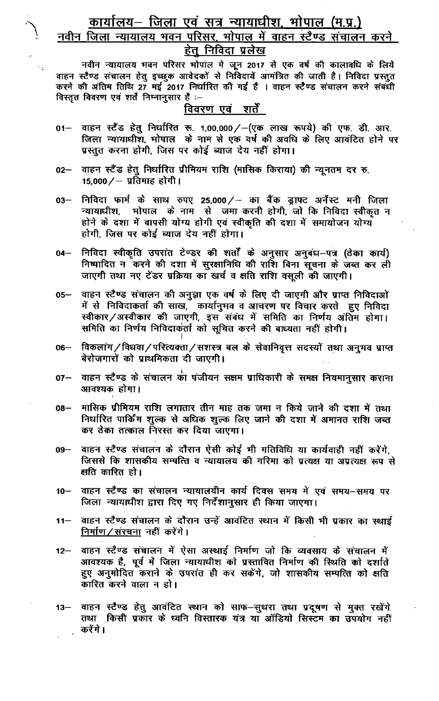# <u> कार्यालय– जिला एवं सत्र न्यायाधीश, भोपाल (म.प्र.)</u><br>नवीन जिला न्यायालय भवन परिसर, भोपाल में वाहन स्टैण्ड संचालन करने <u>हेतु निविदा प्रलेख</u>

नवीन न्यायालय भवन परिसर भोपाल में जून 2017 से एक वर्ष की कालावधि के लिये वाहन स्टैण्ड संचालन हेतु इच्छुक आवेदकों से निविदायें आमंत्रित की जाती है। निविदा प्रस्तुत करने की अंतिम तिथि 27 मई 2017 निर्धारित की गई है । वाहन स्टैण्ड संचालन करने संबंधी विस्तृत विवरण एवं शर्ते निम्नानुसार है :--

 $\sim$   $_{\star}$ 

#### विवरण एवं शर्तें

- वाहन स्टैंड हेतू निर्धारित रू. 1,00,000/-(एक लाख रूपये) की एफ. डी. आर.  $01 -$ जिला न्यायाधीश, मोपाल के नाम से एक वर्ष की अवधि के लिए आवंटित होने पर प्रस्तुत करना होगी, जिस पर कोई ब्याज देय नहीं होगा।
- वाहन स्टैंड हेतु निर्धारित प्रीमियम राशि (मासिक किराया) की न्यूनतम दर रु.  $02-$ 15,000  $/$  – प्रतिमाह होगी।
- निविदा फार्म के साथ रुपए 25,000/ का बैंक ड्राफ्ट अर्नेस्ट मनी जिला  $03 -$ होने के दशा में वापसी योग्य होगी एवं स्वीकृति की दशा में समायोजन योग्य होगी, जिस पर कोई ब्याज देय नहीं होगा।
- निविदा स्वीकृति उपरांत टेण्डर की शर्तों के अनुसार अनुबंध–पत्र (ठेका कार्य)  $04-$ निष्पादित न करने की दशा में सुरक्षानिधि की राशि बिना सूचना के जब्त कर ली जाएगी तथा नए टेंडर प्रक्रिया का खर्च व क्षति राशि वसूली की जाएगी।
- वाहन स्टैण्ड संचालन की अनूज़ा एक वर्ष के लिए दी जाएगी और प्राप्त निविदाओं  $05-$ में से निविदाकर्ता की साख, कार्यानुभव व आचरण पर विचार करते हुए निविदा स्वीकार/अस्वीकार की जाएगी, इस संबंध में समिति का निर्णय अंतिम होगा। समिति का निर्णय निविदाकर्ता को सूचित करने की बाध्यता नहीं होगी।
- विकलांग/विधवा/परित्यक्ता/सशस्त्र बल के सेवानिवृत्त सदस्यों तथा अनुभव प्राप्त  $06 -$ बेरोजगारों को प्राथमिकता दी जाएगी।
- वाहन स्टैण्ड के संचालन का पंजीयन सक्षम प्राधिकारी के समक्ष नियमानुसार कराना  $07-$ आवश्यक होगा।
- मासिक प्रीमियम राशि लगातार तीन माह तक जमा न किये जाने की दशा में तथा  $08 -$ निर्धारित पार्किंग शूल्क से अधिक शूल्क लिए जाने की दशा में अमानत राशि जब्त कर ठेका तत्काल निरस्त कर दिया जाएगा।
- वाहन स्टैण्ड संचालन के दौरान ऐसी कोई भी गतिविधि या कार्यवाही नहीं करेंगे,  $09 -$ जिससे कि शासकीय सम्पत्ति व न्यायालय की गरिमा को प्रत्यक्ष या अप्रत्यक्ष रूप से क्षति कारित हो।
- वाहन स्टैण्ड का संचालन न्यायालयीन कार्य दिवस समय में एवं समय-समय पर  $10 -$ जिला न्यायाधीश द्वारा दिए गए निर्देशानूसार ही किया जाएगा।
- वाहन स्टैण्ड संचालन के दौरान उन्हें आवंटित स्थान में किसी भी प्रकार का स्थाई  $11-$ <u>निर्माण / संरचना</u> नहीं करेंगे।
- वाहन स्टैण्ड संचालन में ऐसा अस्थाई निर्माण जो कि व्यवसाय के संचालन में  $12 -$ आवश्यक है, पूर्व में जिला न्यायाधीश को प्रस्तावित निर्माण की स्थिति को दर्शाते हुए अनुमोदित कराने के उपरांत ही कर सकेंगे, जो शासकीय सम्पत्ति को क्षति कारित करने वाला न हो।
- वाहन स्टैण्ड हेतु आवंटित स्थान को साफ-सुथरा तथा प्रदूषण से मुक्त रखेंगे  $13 -$ तथा किसी प्रकार के ध्वनि विस्तारक यंत्र या ऑडियो सिस्टम का उपयोग नहीं करेंगे ।